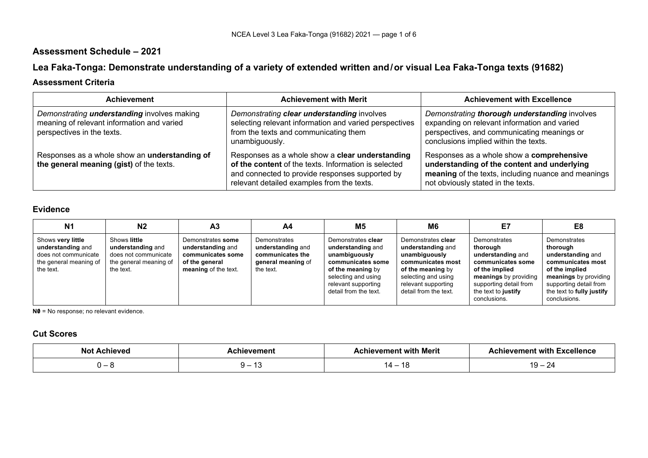## **Assessment Schedule – 2021**

# **Lea Faka-Tonga: Demonstrate understanding of a variety of extended written and/or visual Lea Faka-Tonga texts (91682)**

### **Assessment Criteria**

| <b>Achievement</b>                                                                                                             | <b>Achievement with Merit</b>                                                                                                                                                                            | <b>Achievement with Excellence</b>                                                                                                                                                    |
|--------------------------------------------------------------------------------------------------------------------------------|----------------------------------------------------------------------------------------------------------------------------------------------------------------------------------------------------------|---------------------------------------------------------------------------------------------------------------------------------------------------------------------------------------|
| Demonstrating <b>understanding</b> involves making<br>meaning of relevant information and varied<br>perspectives in the texts. | Demonstrating clear understanding involves<br>selecting relevant information and varied perspectives<br>from the texts and communicating them<br>unambiguously.                                          | Demonstrating thorough understanding involves<br>expanding on relevant information and varied<br>perspectives, and communicating meanings or<br>conclusions implied within the texts. |
| Responses as a whole show an understanding of<br>the general meaning (gist) of the texts.                                      | Responses as a whole show a clear understanding<br>of the content of the texts. Information is selected<br>and connected to provide responses supported by<br>relevant detailed examples from the texts. | Responses as a whole show a comprehensive<br>understanding of the content and underlying<br>meaning of the texts, including nuance and meanings<br>not obviously stated in the texts. |

### **Evidence**

| N <sub>1</sub>                                                                                        | N2                                                                                               | A3                                                                                                    | A4                                                                                       | M5                                                                                                                                                                        | M6                                                                                                                                                                        | E7                                                                                                                                                                             | E8                                                                                                                                                                                   |
|-------------------------------------------------------------------------------------------------------|--------------------------------------------------------------------------------------------------|-------------------------------------------------------------------------------------------------------|------------------------------------------------------------------------------------------|---------------------------------------------------------------------------------------------------------------------------------------------------------------------------|---------------------------------------------------------------------------------------------------------------------------------------------------------------------------|--------------------------------------------------------------------------------------------------------------------------------------------------------------------------------|--------------------------------------------------------------------------------------------------------------------------------------------------------------------------------------|
| Shows very little<br>understanding and<br>does not communicate<br>the general meaning of<br>the text. | Shows little<br>understanding and<br>does not communicate<br>the general meaning of<br>the text. | Demonstrates some<br>understanding and<br>communicates some<br>of the general<br>meaning of the text. | Demonstrates<br>understanding and<br>communicates the<br>general meaning of<br>the text. | Demonstrates clear<br>understanding and<br>unambiguously<br>communicates some<br>of the meaning by<br>selecting and using<br>relevant supporting<br>detail from the text. | Demonstrates clear<br>understanding and<br>unambiguously<br>communicates most<br>of the meaning by<br>selecting and using<br>relevant supporting<br>detail from the text. | Demonstrates<br>thorough<br>understanding and<br>communicates some<br>of the implied<br>meanings by providing<br>supporting detail from<br>the text to justify<br>conclusions. | Demonstrates<br>thorough<br>understanding and<br>communicates most<br>of the implied<br>meanings by providing<br>supporting detail from<br>the text to fully justify<br>conclusions. |

**N0** = No response; no relevant evidence.

### **Cut Scores**

| лF | ' with Merit<br>vement | vement with Excellence؛ |
|----|------------------------|-------------------------|
|    |                        | -4<br>ີ                 |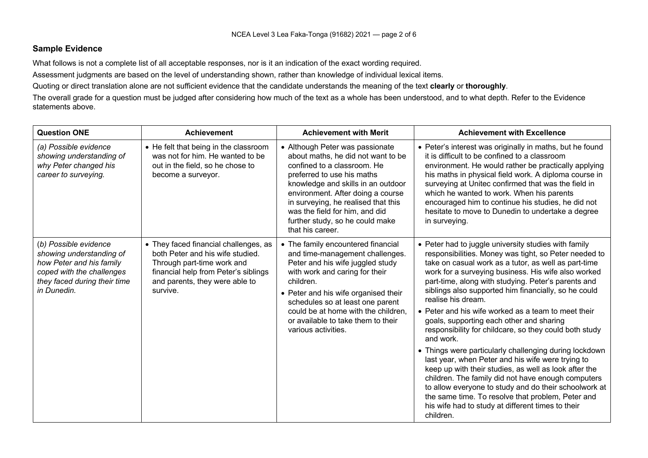#### **Sample Evidence**

What follows is not a complete list of all acceptable responses, nor is it an indication of the exact wording required.

Assessment judgments are based on the level of understanding shown, rather than knowledge of individual lexical items.

Quoting or direct translation alone are not sufficient evidence that the candidate understands the meaning of the text **clearly** or **thoroughly**.

The overall grade for a question must be judged after considering how much of the text as a whole has been understood, and to what depth. Refer to the Evidence statements above.

| <b>Question ONE</b>                                                                                                                                       | <b>Achievement</b>                                                                                                                                                                            | <b>Achievement with Merit</b>                                                                                                                                                                                                                                                                                                                 | <b>Achievement with Excellence</b>                                                                                                                                                                                                                                                                                                                                                                                                                                                                                                                                                                                                                                                                                                                                                                                                                                                                                                                        |
|-----------------------------------------------------------------------------------------------------------------------------------------------------------|-----------------------------------------------------------------------------------------------------------------------------------------------------------------------------------------------|-----------------------------------------------------------------------------------------------------------------------------------------------------------------------------------------------------------------------------------------------------------------------------------------------------------------------------------------------|-----------------------------------------------------------------------------------------------------------------------------------------------------------------------------------------------------------------------------------------------------------------------------------------------------------------------------------------------------------------------------------------------------------------------------------------------------------------------------------------------------------------------------------------------------------------------------------------------------------------------------------------------------------------------------------------------------------------------------------------------------------------------------------------------------------------------------------------------------------------------------------------------------------------------------------------------------------|
| (a) Possible evidence<br>showing understanding of<br>why Peter changed his<br>career to surveying.                                                        | • He felt that being in the classroom<br>was not for him. He wanted to be<br>out in the field, so he chose to<br>become a surveyor.                                                           | • Although Peter was passionate<br>about maths, he did not want to be<br>confined to a classroom. He<br>preferred to use his maths<br>knowledge and skills in an outdoor<br>environment. After doing a course<br>in surveying, he realised that this<br>was the field for him, and did<br>further study, so he could make<br>that his career. | • Peter's interest was originally in maths, but he found<br>it is difficult to be confined to a classroom<br>environment. He would rather be practically applying<br>his maths in physical field work. A diploma course in<br>surveying at Unitec confirmed that was the field in<br>which he wanted to work. When his parents<br>encouraged him to continue his studies, he did not<br>hesitate to move to Dunedin to undertake a degree<br>in surveying.                                                                                                                                                                                                                                                                                                                                                                                                                                                                                                |
| (b) Possible evidence<br>showing understanding of<br>how Peter and his family<br>coped with the challenges<br>they faced during their time<br>in Dunedin. | • They faced financial challenges, as<br>both Peter and his wife studied.<br>Through part-time work and<br>financial help from Peter's siblings<br>and parents, they were able to<br>survive. | • The family encountered financial<br>and time-management challenges.<br>Peter and his wife juggled study<br>with work and caring for their<br>children.<br>• Peter and his wife organised their<br>schedules so at least one parent<br>could be at home with the children,<br>or available to take them to their<br>various activities.      | • Peter had to juggle university studies with family<br>responsibilities. Money was tight, so Peter needed to<br>take on casual work as a tutor, as well as part-time<br>work for a surveying business. His wife also worked<br>part-time, along with studying. Peter's parents and<br>siblings also supported him financially, so he could<br>realise his dream.<br>• Peter and his wife worked as a team to meet their<br>goals, supporting each other and sharing<br>responsibility for childcare, so they could both study<br>and work.<br>• Things were particularly challenging during lockdown<br>last year, when Peter and his wife were trying to<br>keep up with their studies, as well as look after the<br>children. The family did not have enough computers<br>to allow everyone to study and do their schoolwork at<br>the same time. To resolve that problem, Peter and<br>his wife had to study at different times to their<br>children. |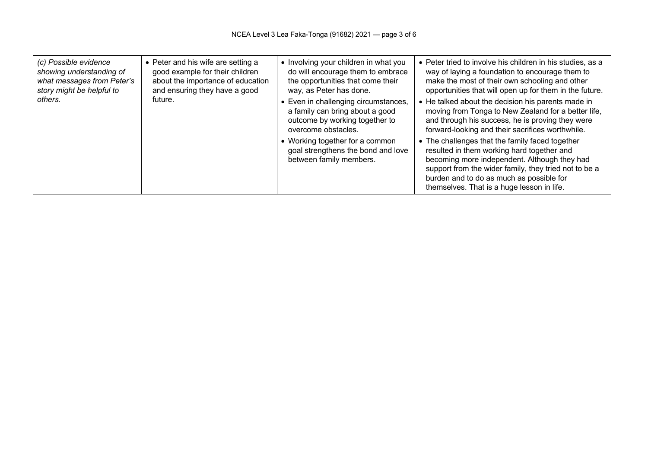| (c) Possible evidence<br>showing understanding of<br>what messages from Peter's<br>story might be helpful to | • Peter and his wife are setting a<br>good example for their children<br>about the importance of education<br>and ensuring they have a good | • Involving your children in what you<br>do will encourage them to embrace<br>the opportunities that come their<br>way, as Peter has done. | • Peter tried to involve his children in his studies, as a<br>way of laying a foundation to encourage them to<br>make the most of their own schooling and other<br>opportunities that will open up for them in the future.                                                                       |
|--------------------------------------------------------------------------------------------------------------|---------------------------------------------------------------------------------------------------------------------------------------------|--------------------------------------------------------------------------------------------------------------------------------------------|--------------------------------------------------------------------------------------------------------------------------------------------------------------------------------------------------------------------------------------------------------------------------------------------------|
| others.                                                                                                      | future.                                                                                                                                     | • Even in challenging circumstances,<br>a family can bring about a good<br>outcome by working together to<br>overcome obstacles.           | • He talked about the decision his parents made in<br>moving from Tonga to New Zealand for a better life,<br>and through his success, he is proving they were<br>forward-looking and their sacrifices worthwhile.                                                                                |
|                                                                                                              |                                                                                                                                             | • Working together for a common<br>goal strengthens the bond and love<br>between family members.                                           | • The challenges that the family faced together<br>resulted in them working hard together and<br>becoming more independent. Although they had<br>support from the wider family, they tried not to be a<br>burden and to do as much as possible for<br>themselves. That is a huge lesson in life. |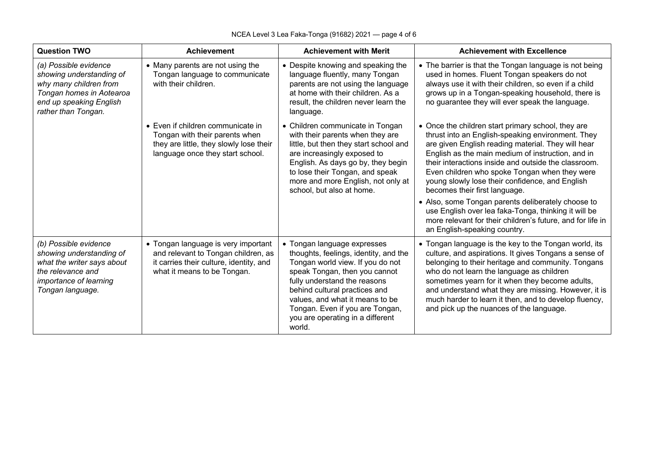| <b>Question TWO</b>                                                                                                                                       | <b>Achievement</b>                                                                                                                                   | <b>Achievement with Merit</b>                                                                                                                                                                                                                                                                                                  | <b>Achievement with Excellence</b>                                                                                                                                                                                                                                                                                                                                                                                                                                                                                                                                                          |
|-----------------------------------------------------------------------------------------------------------------------------------------------------------|------------------------------------------------------------------------------------------------------------------------------------------------------|--------------------------------------------------------------------------------------------------------------------------------------------------------------------------------------------------------------------------------------------------------------------------------------------------------------------------------|---------------------------------------------------------------------------------------------------------------------------------------------------------------------------------------------------------------------------------------------------------------------------------------------------------------------------------------------------------------------------------------------------------------------------------------------------------------------------------------------------------------------------------------------------------------------------------------------|
| (a) Possible evidence<br>showing understanding of<br>why many children from<br>Tongan homes in Aotearoa<br>end up speaking English<br>rather than Tongan. | • Many parents are not using the<br>Tongan language to communicate<br>with their children.                                                           | • Despite knowing and speaking the<br>language fluently, many Tongan<br>parents are not using the language<br>at home with their children. As a<br>result, the children never learn the<br>language.                                                                                                                           | • The barrier is that the Tongan language is not being<br>used in homes. Fluent Tongan speakers do not<br>always use it with their children, so even if a child<br>grows up in a Tongan-speaking household, there is<br>no guarantee they will ever speak the language.                                                                                                                                                                                                                                                                                                                     |
|                                                                                                                                                           | • Even if children communicate in<br>Tongan with their parents when<br>they are little, they slowly lose their<br>language once they start school.   | • Children communicate in Tongan<br>with their parents when they are<br>little, but then they start school and<br>are increasingly exposed to<br>English. As days go by, they begin<br>to lose their Tongan, and speak<br>more and more English, not only at<br>school, but also at home.                                      | • Once the children start primary school, they are<br>thrust into an English-speaking environment. They<br>are given English reading material. They will hear<br>English as the main medium of instruction, and in<br>their interactions inside and outside the classroom.<br>Even children who spoke Tongan when they were<br>young slowly lose their confidence, and English<br>becomes their first language.<br>• Also, some Tongan parents deliberately choose to<br>use English over lea faka-Tonga, thinking it will be<br>more relevant for their children's future, and for life in |
| (b) Possible evidence<br>showing understanding of<br>what the writer says about<br>the relevance and<br>importance of learning<br>Tongan language.        | • Tongan language is very important<br>and relevant to Tongan children, as<br>it carries their culture, identity, and<br>what it means to be Tongan. | • Tongan language expresses<br>thoughts, feelings, identity, and the<br>Tongan world view. If you do not<br>speak Tongan, then you cannot<br>fully understand the reasons<br>behind cultural practices and<br>values, and what it means to be<br>Tongan. Even if you are Tongan,<br>you are operating in a different<br>world. | an English-speaking country.<br>• Tongan language is the key to the Tongan world, its<br>culture, and aspirations. It gives Tongans a sense of<br>belonging to their heritage and community. Tongans<br>who do not learn the language as children<br>sometimes yearn for it when they become adults,<br>and understand what they are missing. However, it is<br>much harder to learn it then, and to develop fluency,<br>and pick up the nuances of the language.                                                                                                                           |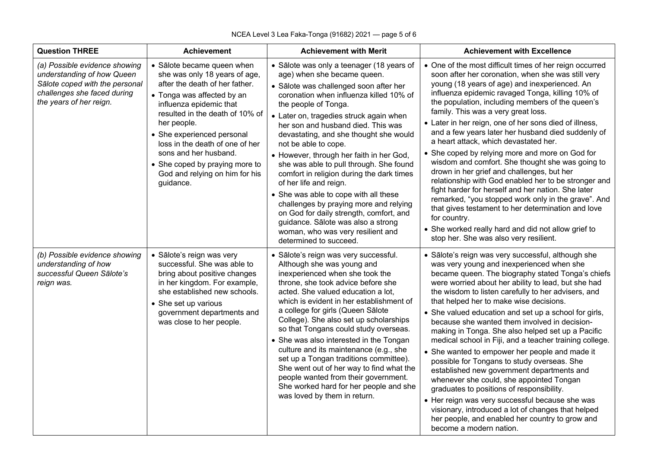| <b>Question THREE</b>                                                                                                                                   | <b>Achievement</b>                                                                                                                                                                                                                                                                                                                                                                  | <b>Achievement with Merit</b>                                                                                                                                                                                                                                                                                                                                                                                                                                                                                                                                                                                                                                                                                                             | <b>Achievement with Excellence</b>                                                                                                                                                                                                                                                                                                                                                                                                                                                                                                                                                                                                                                                                                                                                                                                                                                                                                                                                      |
|---------------------------------------------------------------------------------------------------------------------------------------------------------|-------------------------------------------------------------------------------------------------------------------------------------------------------------------------------------------------------------------------------------------------------------------------------------------------------------------------------------------------------------------------------------|-------------------------------------------------------------------------------------------------------------------------------------------------------------------------------------------------------------------------------------------------------------------------------------------------------------------------------------------------------------------------------------------------------------------------------------------------------------------------------------------------------------------------------------------------------------------------------------------------------------------------------------------------------------------------------------------------------------------------------------------|-------------------------------------------------------------------------------------------------------------------------------------------------------------------------------------------------------------------------------------------------------------------------------------------------------------------------------------------------------------------------------------------------------------------------------------------------------------------------------------------------------------------------------------------------------------------------------------------------------------------------------------------------------------------------------------------------------------------------------------------------------------------------------------------------------------------------------------------------------------------------------------------------------------------------------------------------------------------------|
| (a) Possible evidence showing<br>understanding of how Queen<br>Sālote coped with the personal<br>challenges she faced during<br>the years of her reign. | • Sālote became queen when<br>she was only 18 years of age,<br>after the death of her father.<br>• Tonga was affected by an<br>influenza epidemic that<br>resulted in the death of 10% of<br>her people.<br>• She experienced personal<br>loss in the death of one of her<br>sons and her husband.<br>• She coped by praying more to<br>God and relying on him for his<br>guidance. | • Sālote was only a teenager (18 years of<br>age) when she became queen.<br>· Sālote was challenged soon after her<br>coronation when influenza killed 10% of<br>the people of Tonga.<br>• Later on, tragedies struck again when<br>her son and husband died. This was<br>devastating, and she thought she would<br>not be able to cope.<br>• However, through her faith in her God,<br>she was able to pull through. She found<br>comfort in religion during the dark times<br>of her life and reign.<br>• She was able to cope with all these<br>challenges by praying more and relying<br>on God for daily strength, comfort, and<br>guidance. Sālote was also a strong<br>woman, who was very resilient and<br>determined to succeed. | • One of the most difficult times of her reign occurred<br>soon after her coronation, when she was still very<br>young (18 years of age) and inexperienced. An<br>influenza epidemic ravaged Tonga, killing 10% of<br>the population, including members of the queen's<br>family. This was a very great loss.<br>• Later in her reign, one of her sons died of illness,<br>and a few years later her husband died suddenly of<br>a heart attack, which devastated her.<br>• She coped by relying more and more on God for<br>wisdom and comfort. She thought she was going to<br>drown in her grief and challenges, but her<br>relationship with God enabled her to be stronger and<br>fight harder for herself and her nation. She later<br>remarked, "you stopped work only in the grave". And<br>that gives testament to her determination and love<br>for country.<br>• She worked really hard and did not allow grief to<br>stop her. She was also very resilient. |
| (b) Possible evidence showing<br>understanding of how<br>successful Queen Sālote's<br>reign was.                                                        | · Sālote's reign was very<br>successful. She was able to<br>bring about positive changes<br>in her kingdom. For example,<br>she established new schools.<br>• She set up various<br>government departments and<br>was close to her people.                                                                                                                                          | · Sālote's reign was very successful.<br>Although she was young and<br>inexperienced when she took the<br>throne, she took advice before she<br>acted. She valued education a lot,<br>which is evident in her establishment of<br>a college for girls (Queen Sālote<br>College). She also set up scholarships<br>so that Tongans could study overseas.<br>• She was also interested in the Tongan<br>culture and its maintenance (e.g., she<br>set up a Tongan traditions committee).<br>She went out of her way to find what the<br>people wanted from their government.<br>She worked hard for her people and she<br>was loved by them in return.                                                                                       | • Sālote's reign was very successful, although she<br>was very young and inexperienced when she<br>became queen. The biography stated Tonga's chiefs<br>were worried about her ability to lead, but she had<br>the wisdom to listen carefully to her advisers, and<br>that helped her to make wise decisions.<br>• She valued education and set up a school for girls,<br>because she wanted them involved in decision-<br>making in Tonga. She also helped set up a Pacific<br>medical school in Fiji, and a teacher training college.<br>• She wanted to empower her people and made it<br>possible for Tongans to study overseas. She<br>established new government departments and<br>whenever she could, she appointed Tongan<br>graduates to positions of responsibility.<br>• Her reign was very successful because she was<br>visionary, introduced a lot of changes that helped<br>her people, and enabled her country to grow and<br>become a modern nation.  |